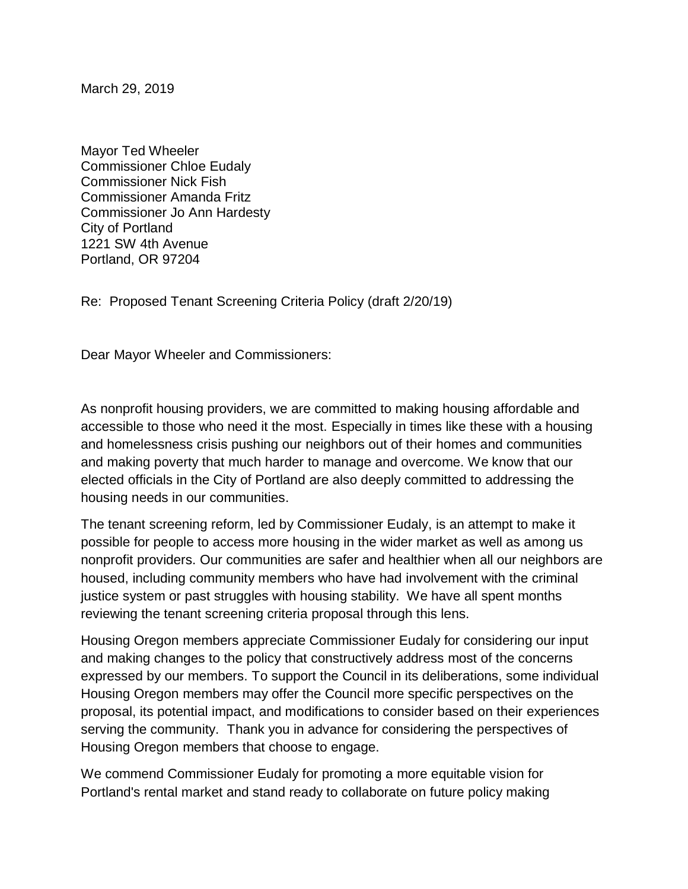March 29, 2019

Mayor Ted Wheeler Commissioner Chloe Eudaly Commissioner Nick Fish Commissioner Amanda Fritz Commissioner Jo Ann Hardesty City of Portland 1221 SW 4th Avenue Portland, OR 97204

Re: Proposed Tenant Screening Criteria Policy (draft 2/20/19)

Dear Mayor Wheeler and Commissioners:

As nonprofit housing providers, we are committed to making housing affordable and accessible to those who need it the most. Especially in times like these with a housing and homelessness crisis pushing our neighbors out of their homes and communities and making poverty that much harder to manage and overcome. We know that our elected officials in the City of Portland are also deeply committed to addressing the housing needs in our communities.

The tenant screening reform, led by Commissioner Eudaly, is an attempt to make it possible for people to access more housing in the wider market as well as among us nonprofit providers. Our communities are safer and healthier when all our neighbors are housed, including community members who have had involvement with the criminal justice system or past struggles with housing stability. We have all spent months reviewing the tenant screening criteria proposal through this lens.

Housing Oregon members appreciate Commissioner Eudaly for considering our input and making changes to the policy that constructively address most of the concerns expressed by our members. To support the Council in its deliberations, some individual Housing Oregon members may offer the Council more specific perspectives on the proposal, its potential impact, and modifications to consider based on their experiences serving the community. Thank you in advance for considering the perspectives of Housing Oregon members that choose to engage.

We commend Commissioner Eudaly for promoting a more equitable vision for Portland's rental market and stand ready to collaborate on future policy making